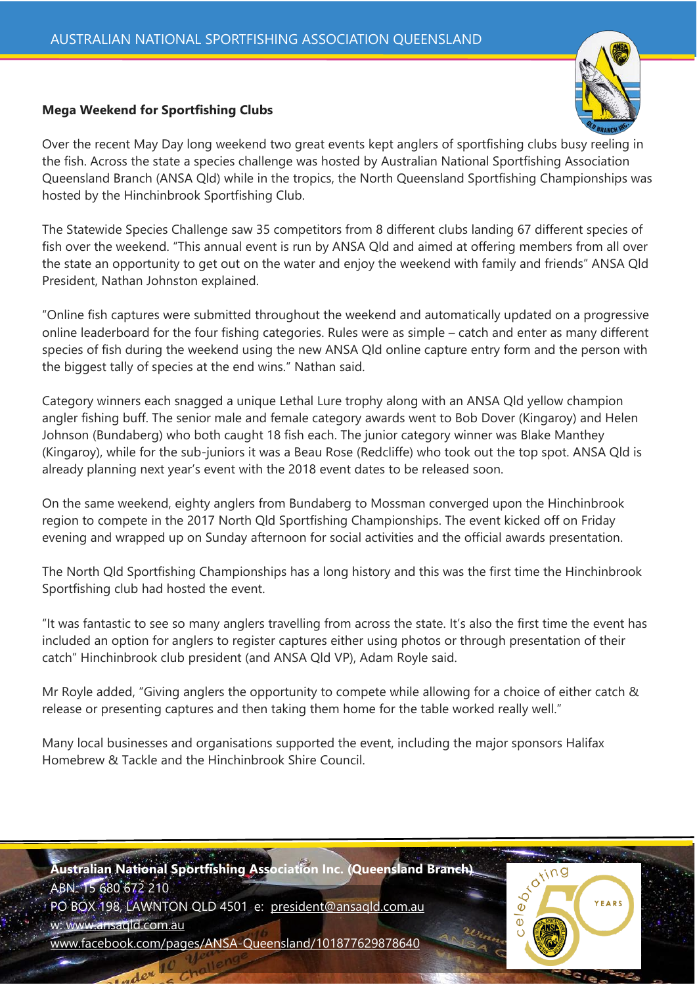## **Mega Weekend for Sportfishing Clubs**

Over the recent May Day long weekend two great events kept anglers of sportfishing clubs busy reeling in the fish. Across the state a species challenge was hosted by Australian National Sportfishing Association Queensland Branch (ANSA Qld) while in the tropics, the North Queensland Sportfishing Championships was hosted by the Hinchinbrook Sportfishing Club.

The Statewide Species Challenge saw 35 competitors from 8 different clubs landing 67 different species of fish over the weekend. "This annual event is run by ANSA Qld and aimed at offering members from all over the state an opportunity to get out on the water and enjoy the weekend with family and friends" ANSA Qld President, Nathan Johnston explained.

"Online fish captures were submitted throughout the weekend and automatically updated on a progressive online leaderboard for the four fishing categories. Rules were as simple – catch and enter as many different species of fish during the weekend using the new ANSA Qld online capture entry form and the person with the biggest tally of species at the end wins." Nathan said.

Category winners each snagged a unique Lethal Lure trophy along with an ANSA Qld yellow champion angler fishing buff. The senior male and female category awards went to Bob Dover (Kingaroy) and Helen Johnson (Bundaberg) who both caught 18 fish each. The junior category winner was Blake Manthey (Kingaroy), while for the sub-juniors it was a Beau Rose (Redcliffe) who took out the top spot. ANSA Qld is already planning next year's event with the 2018 event dates to be released soon.

On the same weekend, eighty anglers from Bundaberg to Mossman converged upon the Hinchinbrook region to compete in the 2017 North Qld Sportfishing Championships. The event kicked off on Friday evening and wrapped up on Sunday afternoon for social activities and the official awards presentation.

The North Qld Sportfishing Championships has a long history and this was the first time the Hinchinbrook Sportfishing club had hosted the event.

"It was fantastic to see so many anglers travelling from across the state. It's also the first time the event has included an option for anglers to register captures either using photos or through presentation of their catch" Hinchinbrook club president (and ANSA Qld VP), Adam Royle said.

Mr Royle added, "Giving anglers the opportunity to compete while allowing for a choice of either catch & release or presenting captures and then taking them home for the table worked really well."

Many local businesses and organisations supported the event, including the major sponsors Halifax Homebrew & Tackle and the Hinchinbrook Shire Council.